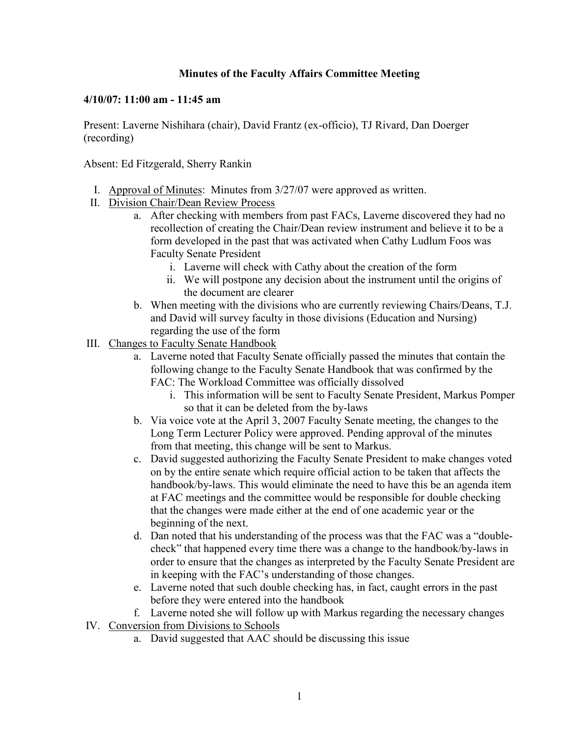## **Minutes of the Faculty Affairs Committee Meeting**

## **4/10/07: 11:00 am - 11:45 am**

Present: Laverne Nishihara (chair), David Frantz (ex-officio), TJ Rivard, Dan Doerger (recording)

Absent: Ed Fitzgerald, Sherry Rankin

- I. Approval of Minutes: Minutes from 3/27/07 were approved as written.
- II. Division Chair/Dean Review Process
	- a. After checking with members from past FACs, Laverne discovered they had no recollection of creating the Chair/Dean review instrument and believe it to be a form developed in the past that was activated when Cathy Ludlum Foos was Faculty Senate President
		- i. Laverne will check with Cathy about the creation of the form
		- ii. We will postpone any decision about the instrument until the origins of the document are clearer
	- b. When meeting with the divisions who are currently reviewing Chairs/Deans, T.J. and David will survey faculty in those divisions (Education and Nursing) regarding the use of the form
- III. Changes to Faculty Senate Handbook
	- a. Laverne noted that Faculty Senate officially passed the minutes that contain the following change to the Faculty Senate Handbook that was confirmed by the FAC: The Workload Committee was officially dissolved
		- i. This information will be sent to Faculty Senate President, Markus Pomper so that it can be deleted from the by-laws
	- b. Via voice vote at the April 3, 2007 Faculty Senate meeting, the changes to the Long Term Lecturer Policy were approved. Pending approval of the minutes from that meeting, this change will be sent to Markus.
	- c. David suggested authorizing the Faculty Senate President to make changes voted on by the entire senate which require official action to be taken that affects the handbook/by-laws. This would eliminate the need to have this be an agenda item at FAC meetings and the committee would be responsible for double checking that the changes were made either at the end of one academic year or the beginning of the next.
	- d. Dan noted that his understanding of the process was that the FAC was a "doublecheck" that happened every time there was a change to the handbook/by-laws in order to ensure that the changes as interpreted by the Faculty Senate President are in keeping with the FAC's understanding of those changes.
	- e. Laverne noted that such double checking has, in fact, caught errors in the past before they were entered into the handbook

f. Laverne noted she will follow up with Markus regarding the necessary changes

- IV. Conversion from Divisions to Schools
	- a. David suggested that AAC should be discussing this issue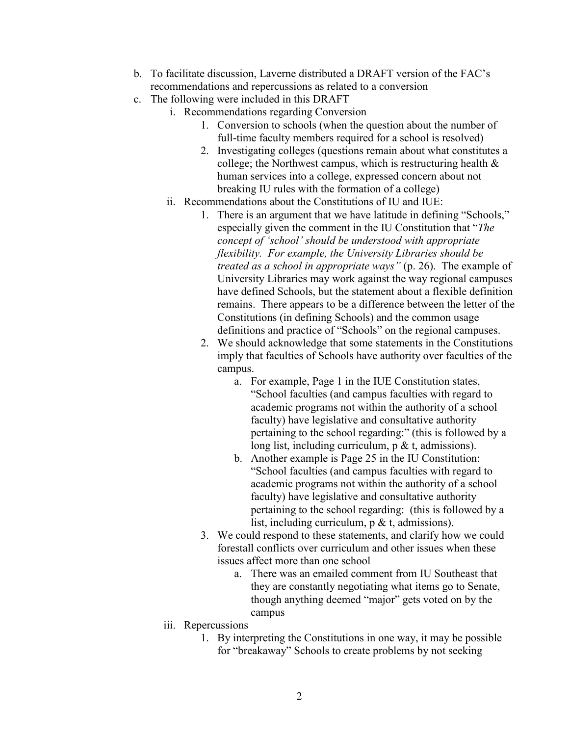- b. To facilitate discussion, Laverne distributed a DRAFT version of the FAC's recommendations and repercussions as related to a conversion
- c. The following were included in this DRAFT
	- i. Recommendations regarding Conversion
		- 1. Conversion to schools (when the question about the number of full-time faculty members required for a school is resolved)
		- 2. Investigating colleges (questions remain about what constitutes a college; the Northwest campus, which is restructuring health & human services into a college, expressed concern about not breaking IU rules with the formation of a college)
	- ii. Recommendations about the Constitutions of IU and IUE:
		- 1. There is an argument that we have latitude in defining "Schools," especially given the comment in the IU Constitution that "*The concept of 'school' should be understood with appropriate flexibility. For example, the University Libraries should be treated as a school in appropriate ways"* (p. 26). The example of University Libraries may work against the way regional campuses have defined Schools, but the statement about a flexible definition remains. There appears to be a difference between the letter of the Constitutions (in defining Schools) and the common usage definitions and practice of "Schools" on the regional campuses.
		- 2. We should acknowledge that some statements in the Constitutions imply that faculties of Schools have authority over faculties of the campus.
			- a. For example, Page 1 in the IUE Constitution states, "School faculties (and campus faculties with regard to academic programs not within the authority of a school faculty) have legislative and consultative authority pertaining to the school regarding:" (this is followed by a long list, including curriculum, p & t, admissions).
			- b. Another example is Page 25 in the IU Constitution: "School faculties (and campus faculties with regard to academic programs not within the authority of a school faculty) have legislative and consultative authority pertaining to the school regarding: (this is followed by a list, including curriculum, p & t, admissions).
		- 3. We could respond to these statements, and clarify how we could forestall conflicts over curriculum and other issues when these issues affect more than one school
			- a. There was an emailed comment from IU Southeast that they are constantly negotiating what items go to Senate, though anything deemed "major" gets voted on by the campus
	- iii. Repercussions
		- 1. By interpreting the Constitutions in one way, it may be possible for "breakaway" Schools to create problems by not seeking